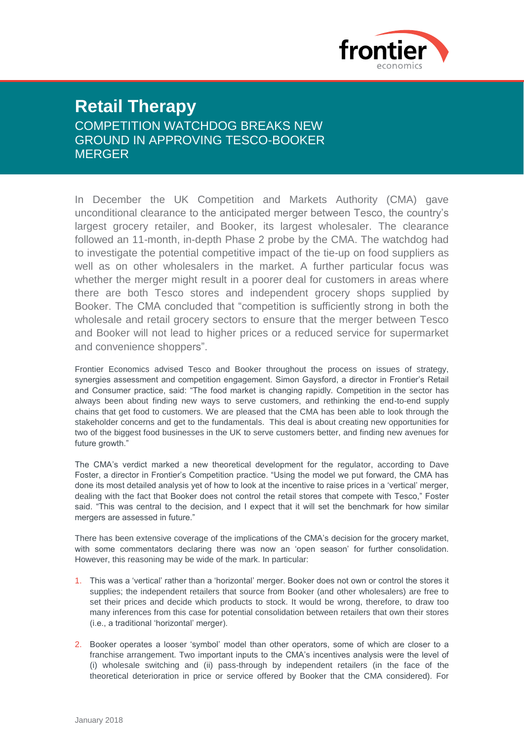

## **Retail Therapy** COMPETITION WATCHDOG BREAKS NEW GROUND IN APPROVING TESCO-BOOKER **MERGER**

In December the UK Competition and Markets Authority (CMA) gave unconditional clearance to the anticipated merger between Tesco, the country's largest grocery retailer, and Booker, its largest wholesaler. The clearance followed an 11-month, in-depth Phase 2 probe by the CMA. The watchdog had to investigate the potential competitive impact of the tie-up on food suppliers as well as on other wholesalers in the market. A further particular focus was whether the merger might result in a poorer deal for customers in areas where there are both Tesco stores and independent grocery shops supplied by Booker. The CMA concluded that "competition is sufficiently strong in both the wholesale and retail grocery sectors to ensure that the merger between Tesco and Booker will not lead to higher prices or a reduced service for supermarket and convenience shoppers".

Frontier Economics advised Tesco and Booker throughout the process on issues of strategy, synergies assessment and competition engagement. Simon Gaysford, a director in Frontier's Retail and Consumer practice, said: "The food market is changing rapidly. Competition in the sector has always been about finding new ways to serve customers, and rethinking the end-to-end supply chains that get food to customers. We are pleased that the CMA has been able to look through the stakeholder concerns and get to the fundamentals. This deal is about creating new opportunities for two of the biggest food businesses in the UK to serve customers better, and finding new avenues for future growth."

The CMA's verdict marked a new theoretical development for the regulator, according to Dave Foster, a director in Frontier's Competition practice. "Using the model we put forward, the CMA has done its most detailed analysis yet of how to look at the incentive to raise prices in a 'vertical' merger, dealing with the fact that Booker does not control the retail stores that compete with Tesco," Foster said. "This was central to the decision, and I expect that it will set the benchmark for how similar mergers are assessed in future."

There has been extensive coverage of the implications of the CMA's decision for the grocery market, with some commentators declaring there was now an 'open season' for further consolidation. However, this reasoning may be wide of the mark. In particular:

- 1. This was a 'vertical' rather than a 'horizontal' merger. Booker does not own or control the stores it supplies; the independent retailers that source from Booker (and other wholesalers) are free to set their prices and decide which products to stock. It would be wrong, therefore, to draw too many inferences from this case for potential consolidation between retailers that own their stores (i.e., a traditional 'horizontal' merger).
- 2. Booker operates a looser 'symbol' model than other operators, some of which are closer to a franchise arrangement. Two important inputs to the CMA's incentives analysis were the level of (i) wholesale switching and (ii) pass-through by independent retailers (in the face of the theoretical deterioration in price or service offered by Booker that the CMA considered). For